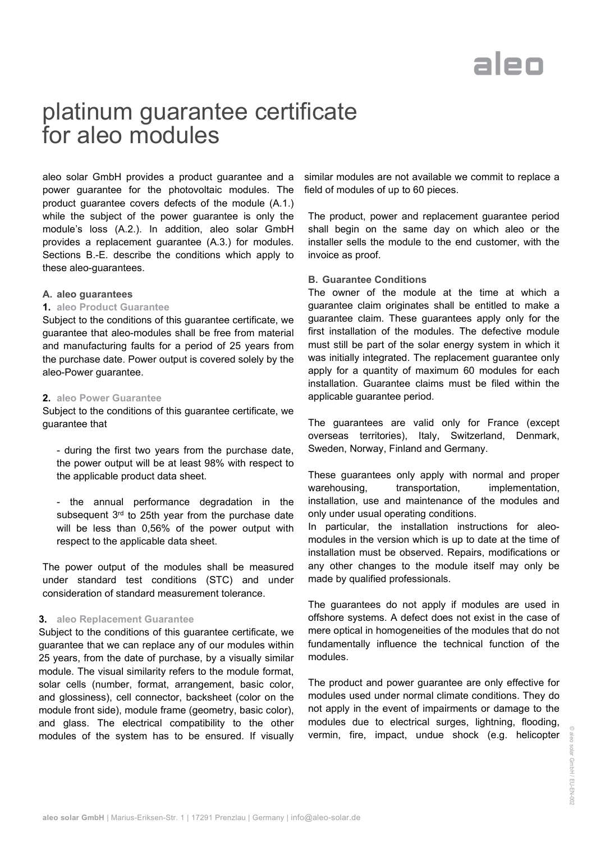# aleo

### platinum guarantee certificate for aleo modules

aleo solar GmbH provides a product guarantee and a power guarantee for the photovoltaic modules. The product guarantee covers defects of the module (A.1.) while the subject of the power guarantee is only the module's loss (A.2.). In addition, aleo solar GmbH provides a replacement guarantee (A.3.) for modules. Sections B.-E. describe the conditions which apply to these aleo-guarantees.

#### **A. aleo guarantees**

#### **1. aleo Product Guarantee**

Subject to the conditions of this guarantee certificate, we guarantee that aleo-modules shall be free from material and manufacturing faults for a period of 25 years from the purchase date. Power output is covered solely by the aleo-Power guarantee.

#### **2. aleo Power Guarantee**

Subject to the conditions of this guarantee certificate, we guarantee that

- during the first two years from the purchase date, the power output will be at least 98% with respect to the applicable product data sheet.

- the annual performance degradation in the subsequent  $3<sup>rd</sup>$  to 25th year from the purchase date will be less than 0,56% of the power output with respect to the applicable data sheet.

The power output of the modules shall be measured under standard test conditions (STC) and under consideration of standard measurement tolerance.

#### **3. aleo Replacement Guarantee**

Subject to the conditions of this guarantee certificate, we guarantee that we can replace any of our modules within 25 years, from the date of purchase, by a visually similar module. The visual similarity refers to the module format, solar cells (number, format, arrangement, basic color, and glossiness), cell connector, backsheet (color on the module front side), module frame (geometry, basic color), and glass. The electrical compatibility to the other modules of the system has to be ensured. If visually similar modules are not available we commit to replace a field of modules of up to 60 pieces.

The product, power and replacement guarantee period shall begin on the same day on which aleo or the installer sells the module to the end customer, with the invoice as proof.

#### **B. Guarantee Conditions**

The owner of the module at the time at which a guarantee claim originates shall be entitled to make a guarantee claim. These guarantees apply only for the first installation of the modules. The defective module must still be part of the solar energy system in which it was initially integrated. The replacement guarantee only apply for a quantity of maximum 60 modules for each installation. Guarantee claims must be filed within the applicable guarantee period.

The guarantees are valid only for France (except overseas territories), Italy, Switzerland, Denmark, Sweden, Norway, Finland and Germany.

These guarantees only apply with normal and proper warehousing, transportation, implementation, installation, use and maintenance of the modules and only under usual operating conditions.

In particular, the installation instructions for aleomodules in the version which is up to date at the time of installation must be observed. Repairs, modifications or any other changes to the module itself may only be made by qualified professionals.

The guarantees do not apply if modules are used in offshore systems. A defect does not exist in the case of mere optical in homogeneities of the modules that do not fundamentally influence the technical function of the modules.

The product and power guarantee are only effective for modules used under normal climate conditions. They do not apply in the event of impairments or damage to the modules due to electrical surges, lightning, flooding, vermin, fire, impact, undue shock (e.g. helicopter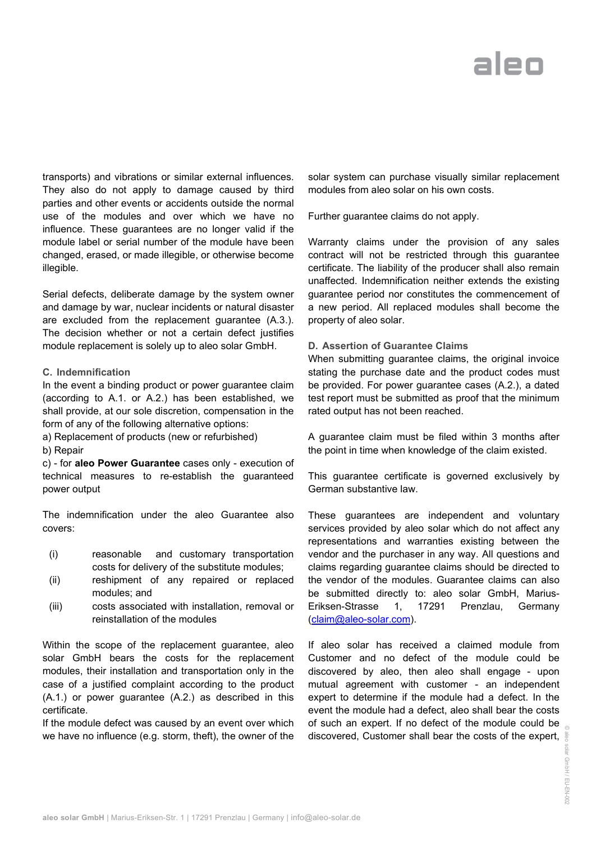## alen

transports) and vibrations or similar external influences. They also do not apply to damage caused by third parties and other events or accidents outside the normal use of the modules and over which we have no influence. These guarantees are no longer valid if the module label or serial number of the module have been changed, erased, or made illegible, or otherwise become illegible.

Serial defects, deliberate damage by the system owner and damage by war, nuclear incidents or natural disaster are excluded from the replacement guarantee (A.3.). The decision whether or not a certain defect justifies module replacement is solely up to aleo solar GmbH.

#### **C. Indemnification**

In the event a binding product or power guarantee claim (according to A.1. or A.2.) has been established, we shall provide, at our sole discretion, compensation in the form of any of the following alternative options:

a) Replacement of products (new or refurbished)

#### b) Repair

c) - for **aleo Power Guarantee** cases only - execution of technical measures to re-establish the guaranteed power output

The indemnification under the aleo Guarantee also covers:

- (i) reasonable and customary transportation costs for delivery of the substitute modules;
- (ii) reshipment of any repaired or replaced modules; and
- (iii) costs associated with installation, removal or reinstallation of the modules

Within the scope of the replacement guarantee, aleo solar GmbH bears the costs for the replacement modules, their installation and transportation only in the case of a justified complaint according to the product (A.1.) or power guarantee (A.2.) as described in this certificate.

If the module defect was caused by an event over which we have no influence (e.g. storm, theft), the owner of the

solar system can purchase visually similar replacement modules from aleo solar on his own costs.

Further guarantee claims do not apply.

Warranty claims under the provision of any sales contract will not be restricted through this guarantee certificate. The liability of the producer shall also remain unaffected. Indemnification neither extends the existing guarantee period nor constitutes the commencement of a new period. All replaced modules shall become the property of aleo solar.

#### **D. Assertion of Guarantee Claims**

When submitting guarantee claims, the original invoice stating the purchase date and the product codes must be provided. For power guarantee cases (A.2.), a dated test report must be submitted as proof that the minimum rated output has not been reached.

A guarantee claim must be filed within 3 months after the point in time when knowledge of the claim existed.

This guarantee certificate is governed exclusively by German substantive law.

These guarantees are independent and voluntary services provided by aleo solar which do not affect any representations and warranties existing between the vendor and the purchaser in any way. All questions and claims regarding guarantee claims should be directed to the vendor of the modules. Guarantee claims can also be submitted directly to: aleo solar GmbH, Marius-Eriksen-Strasse 1, 17291 Prenzlau, Germany [\(claim@aleo-solar.com\)](mailto:claim@aleo-solar.com).

discovered, Customer shall bear the costs of the expert,  $\frac{1}{8}$ If aleo solar has received a claimed module from Customer and no defect of the module could be discovered by aleo, then aleo shall engage - upon mutual agreement with customer - an independent expert to determine if the module had a defect. In the event the module had a defect, aleo shall bear the costs of such an expert. If no defect of the module could be